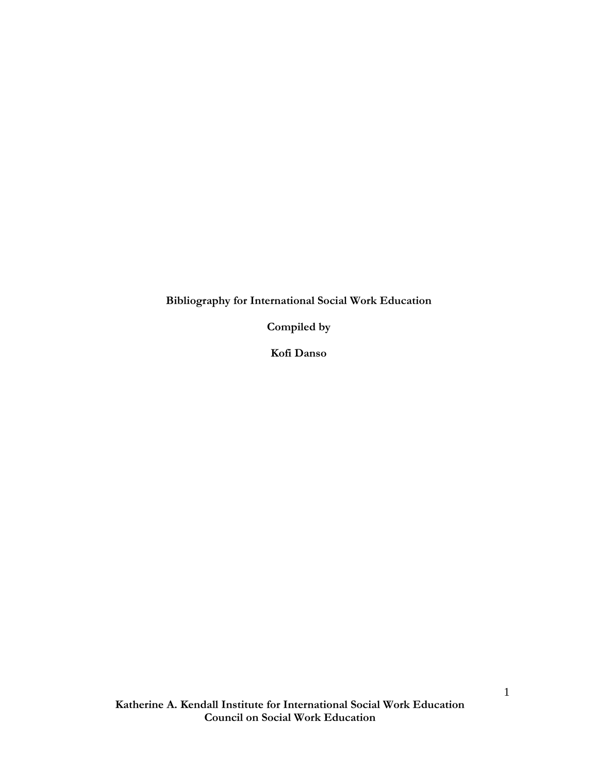**Bibliography for International Social Work Education** 

**Compiled by** 

**Kofi Danso**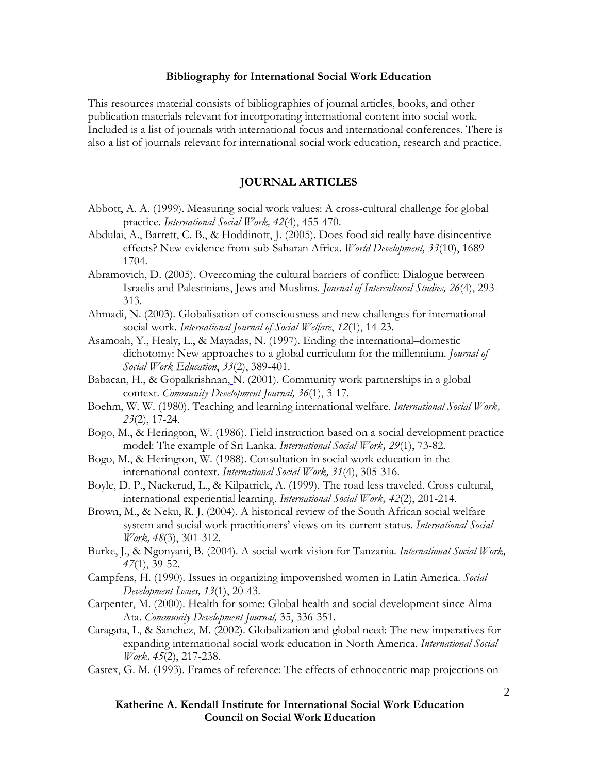#### **Bibliography for International Social Work Education**

This resources material consists of bibliographies of journal articles, books, and other publication materials relevant for incorporating international content into social work. Included is a list of journals with international focus and international conferences. There is also a list of journals relevant for international social work education, research and practice.

#### **JOURNAL ARTICLES**

- Abbott, A. A. (1999). Measuring social work values: A cross-cultural challenge for global practice. *International Social Work, 42*(4), 455-470.
- Abdulai, A., Barrett, C. B., & Hoddinott, J. (2005). Does food aid really have disincentive effects? New evidence from sub-Saharan Africa. *World Development, 33*(10), 1689- 1704.
- Abramovich, D. (2005). Overcoming the cultural barriers of conflict: Dialogue between Israelis and Palestinians, Jews and Muslims. *Journal of Intercultural Studies, 26*(4), 293- 313.
- Ahmadi, N. (2003). Globalisation of consciousness and new challenges for international social work. *International Journal of Social Welfare*, *12*(1), 14-23.
- Asamoah, Y., Healy, L., & Mayadas, N. (1997). Ending the international–domestic dichotomy: New approaches to a global curriculum for the millennium. *Journal of Social Work Education*, *33*(2), 389-401.
- Babacan, H., & Gopalkrishnan, N. (2001). Community work partnerships in a global context. *Community Development Journal, 36*(1), 3-17.
- Boehm, W. W. (1980). Teaching and learning international welfare. *International Social Work, 23*(2), 17-24.
- Bogo, M., & Herington, W. (1986). Field instruction based on a social development practice model: The example of Sri Lanka. *International Social Work, 29*(1), 73-82.
- Bogo, M., & Herington, W. (1988). Consultation in social work education in the international context. *International Social Work, 31*(4), 305-316.
- Boyle, D. P., Nackerud, L., & Kilpatrick, A. (1999). The road less traveled. Cross-cultural, international experiential learning. *International Social Work, 42*(2), 201-214.
- Brown, M., & Neku, R. J. (2004). A historical review of the South African social welfare system and social work practitioners' views on its current status. *International Social Work, 48*(3), 301-312.
- Burke, J., & Ngonyani, B. (2004). A social work vision for Tanzania. *International Social Work, 47*(1), 39-52.
- Campfens, H. (1990). Issues in organizing impoverished women in Latin America. *Social Development Issues, 13*(1), 20-43.
- Carpenter, M. (2000). Health for some: Global health and social development since Alma Ata. *Community Development Journal,* 35, 336-351.
- Caragata, L, & Sanchez, M. (2002). Globalization and global need: The new imperatives for expanding international social work education in North America. *International Social Work, 45*(2), 217-238.
- Castex, G. M. (1993). Frames of reference: The effects of ethnocentric map projections on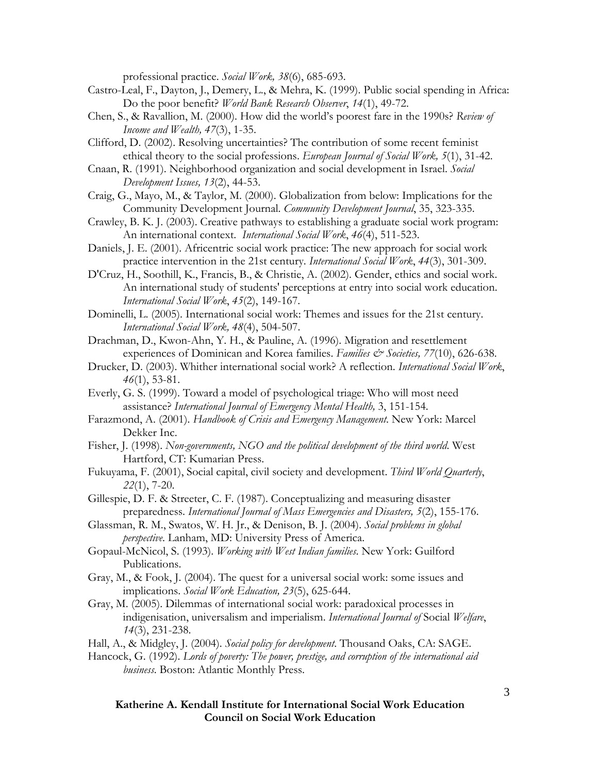professional practice. *Social Work, 38*(6), 685-693.

- Castro-Leal, F., Dayton, J., Demery, L., & Mehra, K. (1999). Public social spending in Africa: Do the poor benefit? *World Bank Research Observer*, *14*(1), 49-72.
- Chen, S., & Ravallion, M. (2000). How did the world's poorest fare in the 1990s? *Review of Income and Wealth, 47*(3), 1-35.
- Clifford, D. (2002). Resolving uncertainties? The contribution of some recent feminist ethical theory to the social professions. *European Journal of Social Work, 5*(1), 31-42.
- Cnaan, R. (1991). Neighborhood organization and social development in Israel. *Social Development Issues, 13*(2), 44-53.
- Craig, G., Mayo, M., & Taylor, M. (2000). Globalization from below: Implications for the Community Development Journal. *Community Development Journal*, 35, 323-335.
- Crawley, B. K. J. (2003). Creative pathways to establishing a graduate social work program: An international context. *International Social Work*, *46*(4), 511-523.
- Daniels, J. E. (2001). Africentric social work practice: The new approach for social work practice intervention in the 21st century. *International Social Work*, *44*(3), 301-309.
- D'Cruz, H., Soothill, K., Francis, B., & Christie, A. (2002). Gender, ethics and social work. An international study of students' perceptions at entry into social work education. *International Social Work*, *45*(2), 149-167.
- Dominelli, L. (2005). International social work: Themes and issues for the 21st century. *International Social Work, 48*(4), 504-507.
- Drachman, D., Kwon-Ahn, Y. H., & Pauline, A. (1996). Migration and resettlement experiences of Dominican and Korea families. *Families & Societies*, 77(10), 626-638.
- Drucker, D. (2003). Whither international social work? A reflection. *International Social Work*, *46*(1), 53-81.
- Everly, G. S. (1999). Toward a model of psychological triage: Who will most need assistance? *International Journal of Emergency Mental Health,* 3, 151-154.
- Farazmond, A. (2001). *Handbook of Crisis and Emergency Management*. New York: Marcel Dekker Inc.
- Fisher, J. (1998). *Non-governments, NGO and the political development of the third world*. West Hartford, CT: Kumarian Press.
- Fukuyama, F. (2001), Social capital, civil society and development. *Third World Quarterly*, *22*(1), 7-20.
- Gillespie, D. F. & Streeter, C. F. (1987). Conceptualizing and measuring disaster preparedness. *International Journal of Mass Emergencies and Disasters, 5*(2), 155-176.
- Glassman, R. M., Swatos, W. H. Jr., & Denison, B. J. (2004). *Social problems in global perspective*. Lanham, MD: University Press of America.
- Gopaul-McNicol, S. (1993). *Working with West Indian families*. New York: Guilford Publications.
- Gray, M., & Fook, J. (2004). The quest for a universal social work: some issues and implications. *Social Work Education, 23*(5), 625-644.
- Gray, M. (2005). Dilemmas of international social work: paradoxical processes in indigenisation, universalism and imperialism. *International Journal of* Social *Welfare*, *14*(3), 231-238.

Hall, A., & Midgley, J. (2004). *Social policy for development*. Thousand Oaks, CA: SAGE.

Hancock, G. (1992). *Lords of poverty: The power, prestige, and corruption of the international aid business*. Boston: Atlantic Monthly Press.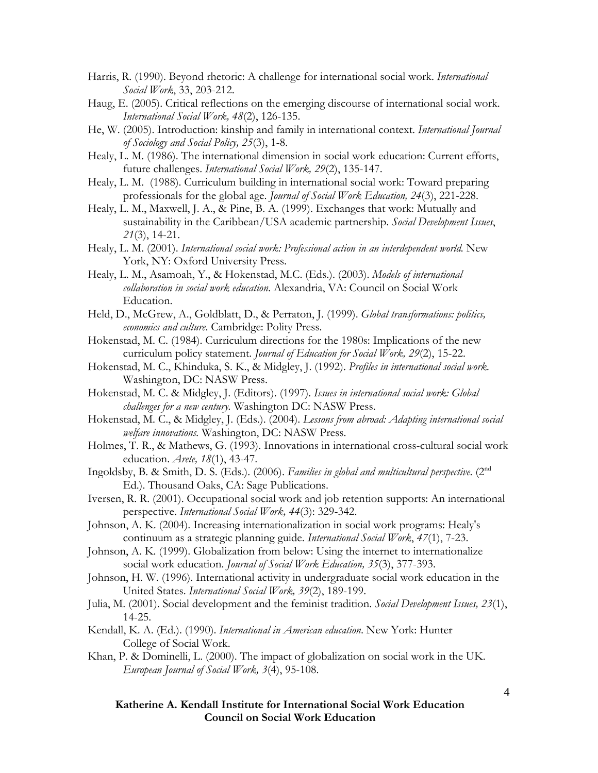- Harris, R. (1990). Beyond rhetoric: A challenge for international social work. *International Social Work*, 33, 203-212.
- Haug, E. (2005). Critical reflections on the emerging discourse of international social work. *International Social Work, 48*(2), 126-135.
- He, W. (2005). Introduction: kinship and family in international context. *International Journal of Sociology and Social Policy, 25*(3), 1-8.
- Healy, L. M. (1986). The international dimension in social work education: Current efforts, future challenges. *International Social Work, 29*(2), 135-147.
- Healy, L. M. (1988). Curriculum building in international social work: Toward preparing professionals for the global age. *Journal of Social Work Education, 24*(3), 221-228.
- Healy, L. M., Maxwell, J. A., & Pine, B. A. (1999). Exchanges that work: Mutually and sustainability in the Caribbean/USA academic partnership. *Social Development Issues*, *21*(3), 14-21.
- Healy, L. M. (2001). *International social work: Professional action in an interdependent world*. New York, NY: Oxford University Press.
- Healy, L. M., Asamoah, Y., & Hokenstad, M.C. (Eds.). (2003). *Models of international collaboration in social work education*. Alexandria, VA: Council on Social Work Education.
- Held, D., McGrew, A., Goldblatt, D., & Perraton, J. (1999). *Global transformations: politics, economics and culture*. Cambridge: Polity Press.
- Hokenstad, M. C. (1984). Curriculum directions for the 1980s: Implications of the new curriculum policy statement. *Journal of Education for Social Work, 29*(2), 15-22.
- Hokenstad, M. C., Khinduka, S. K., & Midgley, J. (1992). *Profiles in international social work.* Washington, DC: NASW Press.
- Hokenstad, M. C. & Midgley, J. (Editors). (1997). *Issues in international social work: Global challenges for a new century.* Washington DC: NASW Press.
- Hokenstad, M. C., & Midgley, J. (Eds.). (2004). *Lessons from abroad: Adapting international social welfare innovations.* Washington, DC: NASW Press.
- Holmes, T. R., & Mathews, G. (1993). Innovations in international cross-cultural social work education. *Arete, 18*(1), 43-47.
- Ingoldsby, B. & Smith, D. S. (Eds.). (2006). Families in global and multicultural perspective. (2<sup>nd</sup> Ed.). Thousand Oaks, CA: Sage Publications.
- Iversen, R. R. (2001). Occupational social work and job retention supports: An international perspective. *International Social Work, 44*(3): 329-342.
- Johnson, A. K. (2004). Increasing internationalization in social work programs: Healy's continuum as a strategic planning guide. *International Social Work*, *47*(1), 7-23.
- Johnson, A. K. (1999). Globalization from below: Using the internet to internationalize social work education. *Journal of Social Work Education, 35*(3), 377-393.
- Johnson, H. W. (1996). International activity in undergraduate social work education in the United States. *International Social Work, 39*(2), 189-199.
- Julia, M. (2001). Social development and the feminist tradition. *Social Development Issues, 23*(1), 14-25.
- Kendall, K. A. (Ed.). (1990). *International in American education*. New York: Hunter College of Social Work.
- Khan, P. & Dominelli, L. (2000). The impact of globalization on social work in the UK. *European Journal of Social Work, 3*(4), 95-108.

**Katherine A. Kendall Institute for International Social Work Education Council on Social Work Education**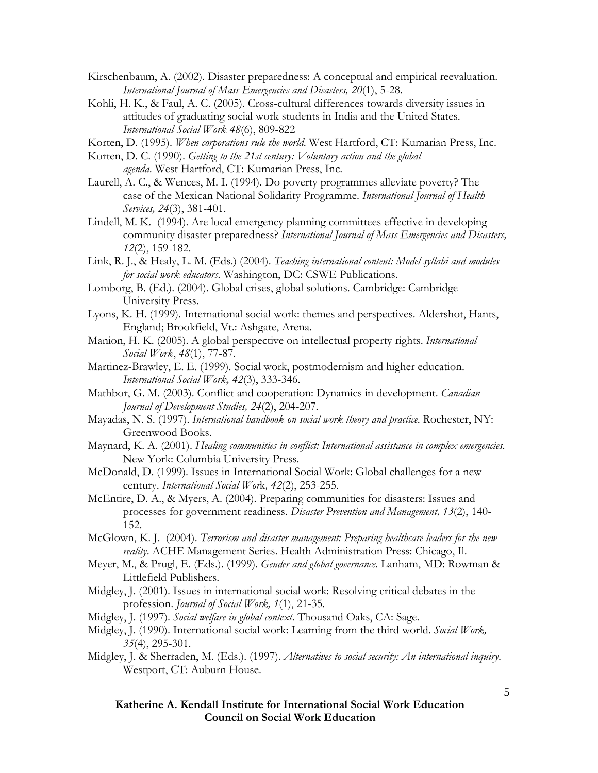- Kirschenbaum, A. (2002). Disaster preparedness: A conceptual and empirical reevaluation. *International Journal of Mass Emergencies and Disasters, 20*(1), 5-28.
- Kohli, H. K., & Faul, A. C. (2005). Cross-cultural differences towards diversity issues in attitudes of graduating social work students in India and the United States. *International Social Work 48*(6), 809-822
- Korten, D. (1995). *When corporations rule the world*. West Hartford, CT: Kumarian Press, Inc.
- Korten, D. C. (1990). *Getting to the 21st century: Voluntary action and the global agenda*. West Hartford, CT: Kumarian Press, Inc.
- Laurell, A. C., & Wences, M. I. (1994). Do poverty programmes alleviate poverty? The case of the Mexican National Solidarity Programme. *International Journal of Health Services, 24*(3), 381-401.
- Lindell, M. K. (1994). Are local emergency planning committees effective in developing community disaster preparedness? *International Journal of Mass Emergencies and Disasters, 12*(2), 159-182.
- Link, R. J., & Healy, L. M. (Eds.) (2004). *Teaching international content: Model syllabi and modules for social work educators*. Washington, DC: CSWE Publications.
- Lomborg, B. (Ed.). (2004). Global crises, global solutions. Cambridge: Cambridge University Press.
- Lyons, K. H. (1999). International social work: themes and perspectives. Aldershot, Hants, England; Brookfield, Vt.: Ashgate, Arena.
- Manion, H. K. (2005). A global perspective on intellectual property rights. *International Social Work*, *48*(1), 77-87.
- Martinez-Brawley, E. E. (1999). Social work, postmodernism and higher education. *International Social Work, 42*(3), 333-346.
- Mathbor, G. M. (2003). Conflict and cooperation: Dynamics in development. *Canadian Journal of Development Studies, 24*(2), 204-207.
- Mayadas, N. S. (1997). *International handbook on social work theory and practice*. Rochester, NY: Greenwood Books.
- Maynard, K. A. (2001). *Healing communities in conflict: International assistance in complex emergencies*. New York: Columbia University Press.
- McDonald, D. (1999). Issues in International Social Work: Global challenges for a new century. *International Social Wor*k*, 42*(2), 253-255.
- McEntire, D. A., & Myers, A. (2004). Preparing communities for disasters: Issues and processes for government readiness. *Disaster Prevention and Management, 13*(2), 140- 152.
- McGlown, K. J. (2004). *Terrorism and disaster management: Preparing healthcare leaders for the new reality*. ACHE Management Series. Health Administration Press: Chicago, Il.
- Meyer, M., & Prugl, E. (Eds.). (1999). *Gender and global governance.* Lanham, MD: Rowman & Littlefield Publishers.
- Midgley, J. (2001). Issues in international social work: Resolving critical debates in the profession. *Journal of Social Work, 1*(1), 21-35.
- Midgley, J. (1997). *Social welfare in global context*. Thousand Oaks, CA: Sage.
- Midgley, J. (1990). International social work: Learning from the third world. *Social Work, 35*(4), 295-301.
- Midgley, J. & Sherraden, M. (Eds.). (1997). *Alternatives to social security: An international inquiry*. Westport, CT: Auburn House.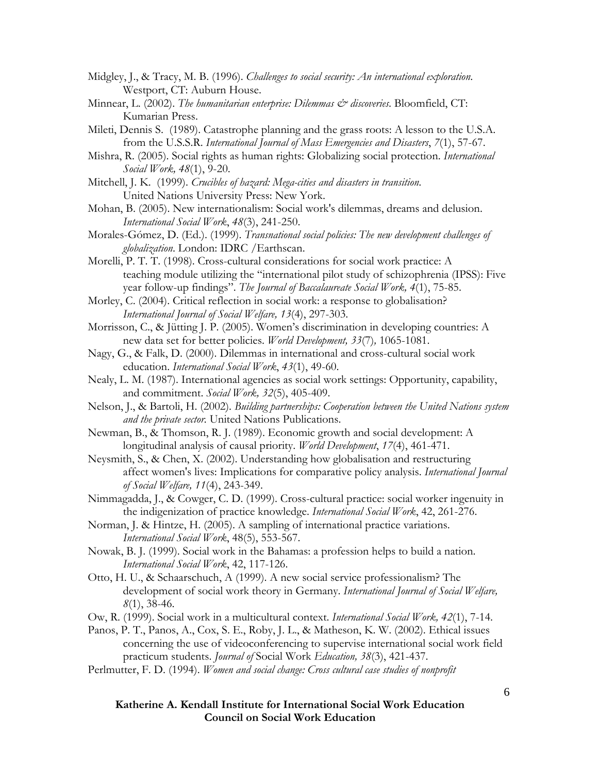- Midgley, J., & Tracy, M. B. (1996). *Challenges to social security: An international exploration*. Westport, CT: Auburn House.
- Minnear, L. (2002). *The humanitarian enterprise: Dilemmas & discoveries*. Bloomfield, CT: Kumarian Press.
- Mileti, Dennis S. (1989). Catastrophe planning and the grass roots: A lesson to the U.S.A. from the U.S.S.R. *International Journal of Mass Emergencies and Disasters*, *7*(1), 57-67.
- Mishra, R. (2005). Social rights as human rights: Globalizing social protection. *International Social Work, 48*(1), 9-20.
- Mitchell, J. K. (1999). *Crucibles of hazard: Mega-cities and disasters in transition*. United Nations University Press: New York.
- Mohan, B. (2005). New internationalism: Social work's dilemmas, dreams and delusion. *International Social Work*, *48*(3), 241-250.
- Morales-Gómez, D. (Ed.). (1999). *Transnational social policies: The new development challenges of globalization*. London: IDRC /Earthscan.
- Morelli, P. T. T. (1998). Cross-cultural considerations for social work practice: A teaching module utilizing the "international pilot study of schizophrenia (IPSS): Five year follow-up findings". *The Journal of Baccalaureate Social Work, 4*(1), 75-85.
- Morley, C. (2004). Critical reflection in social work: a response to globalisation? *International Journal of Social Welfare, 13*(4), 297-303.
- Morrisson, C., & Jütting J. P. (2005). Women's discrimination in developing countries: A new data set for better policies. *World Development, 33*(7)*,* 1065-1081.
- Nagy, G., & Falk, D. (2000). Dilemmas in international and cross-cultural social work education. *International Social Work*, *43*(1), 49-60.
- Nealy, L. M. (1987). International agencies as social work settings: Opportunity, capability, and commitment. *Social Work, 32*(5), 405-409.
- Nelson, J., & Bartoli, H. (2002). *Building partnerships: Cooperation between the United Nations system and the private sector.* United Nations Publications.
- Newman, B., & Thomson, R. J. (1989). Economic growth and social development: A longitudinal analysis of causal priority. *World Development*, *17*(4), 461-471.
- Neysmith, S., & Chen, X. (2002). Understanding how globalisation and restructuring affect women's lives: Implications for comparative policy analysis. *International Journal of Social Welfare, 11*(4), 243-349.
- Nimmagadda, J., & Cowger, C. D. (1999). Cross-cultural practice: social worker ingenuity in the indigenization of practice knowledge. *International Social Work*, 42, 261-276.
- Norman, J. & Hintze, H. (2005). A sampling of international practice variations. *International Social Work*, 48(5), 553-567.
- Nowak, B. J. (1999). Social work in the Bahamas: a profession helps to build a nation. *International Social Work*, 42, 117-126.
- Otto, H. U., & Schaarschuch, A (1999). A new social service professionalism? The development of social work theory in Germany. *International Journal of Social Welfare, 8*(1), 38-46.
- Ow, R. (1999). Social work in a multicultural context. *International Social Work, 42*(1), 7-14.

Panos, P. T., Panos, A., Cox, S. E., Roby, J. L., & Matheson, K. W. (2002). Ethical issues concerning the use of videoconferencing to supervise international social work field practicum students. *Journal of* Social Work *Education, 38*(3), 421-437.

Perlmutter, F. D. (1994). *Women and social change: Cross cultural case studies of nonprofit* 

**Katherine A. Kendall Institute for International Social Work Education Council on Social Work Education**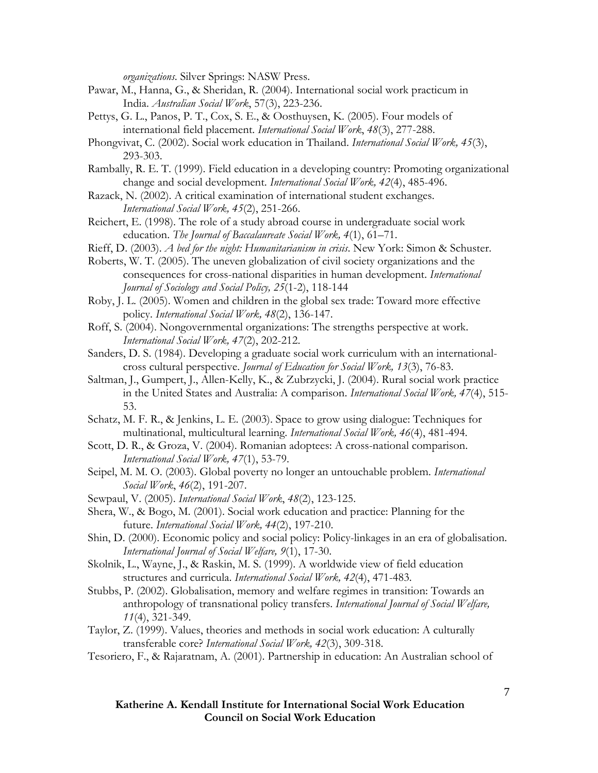*organizations*. Silver Springs: NASW Press.

- Pawar, M., Hanna, G., & Sheridan, R. (2004). International social work practicum in India. *Australian Social Work*, 57(3), 223-236.
- Pettys, G. L., Panos, P. T., Cox, S. E., & Oosthuysen, K. (2005). Four models of international field placement. *International Social Work*, *48*(3), 277-288.
- Phongvivat, C. (2002). Social work education in Thailand. *International Social Work, 45*(3), 293-303.
- Rambally, R. E. T. (1999). Field education in a developing country: Promoting organizational change and social development. *International Social Work, 42*(4), 485-496.
- Razack, N. (2002). A critical examination of international student exchanges. *International Social Work, 45*(2), 251-266.
- Reichert, E. (1998). The role of a study abroad course in undergraduate social work education. *The Journal of Baccalaureate Social Work, 4*(1), 61–71.
- Rieff, D. (2003). *A bed for the night: Humanitarianism in crisis*. New York: Simon & Schuster.
- Roberts, W. T. (2005). The uneven globalization of civil society organizations and the consequences for cross-national disparities in human development. *International Journal of Sociology and Social Policy, 25*(1-2), 118-144
- Roby, J. L. (2005). Women and children in the global sex trade: Toward more effective policy. *International Social Work, 48*(2), 136-147.
- Roff, S. (2004). Nongovernmental organizations: The strengths perspective at work. *International Social Work, 47*(2), 202-212.
- Sanders, D. S. (1984). Developing a graduate social work curriculum with an internationalcross cultural perspective. *Journal of Education for Social Work, 13*(3), 76-83.
- Saltman, J., Gumpert, J., Allen-Kelly, K., & Zubrzycki, J. (2004). Rural social work practice in the United States and Australia: A comparison. *International Social Work, 47*(4), 515- 53.
- Schatz, M. F. R., & Jenkins, L. E. (2003). Space to grow using dialogue: Techniques for multinational, multicultural learning. *International Social Work, 46*(4), 481-494.
- Scott, D. R., & Groza, V. (2004). Romanian adoptees: A cross-national comparison. *International Social Work, 47*(1), 53-79.
- Seipel, M. M. O. (2003). Global poverty no longer an untouchable problem. *International Social Work*, *46*(2), 191-207.
- Sewpaul, V. (2005). *International Social Work*, *48*(2), 123-125.
- Shera, W., & Bogo, M. (2001). Social work education and practice: Planning for the future. *International Social Work, 44*(2), 197-210.
- Shin, D. (2000). Economic policy and social policy: Policy-linkages in an era of globalisation. *International Journal of Social Welfare, 9*(1), 17-30.
- Skolnik, L., Wayne, J., & Raskin, M. S. (1999). A worldwide view of field education structures and curricula. *International Social Work, 42*(4), 471-483.
- Stubbs, P. (2002). Globalisation, memory and welfare regimes in transition: Towards an anthropology of transnational policy transfers. *International Journal of Social Welfare, 11*(4), 321-349.
- Taylor, Z. (1999). Values, theories and methods in social work education: A culturally transferable core? *International Social Work, 42*(3), 309-318.
- Tesoriero, F., & Rajaratnam, A. (2001). Partnership in education: An Australian school of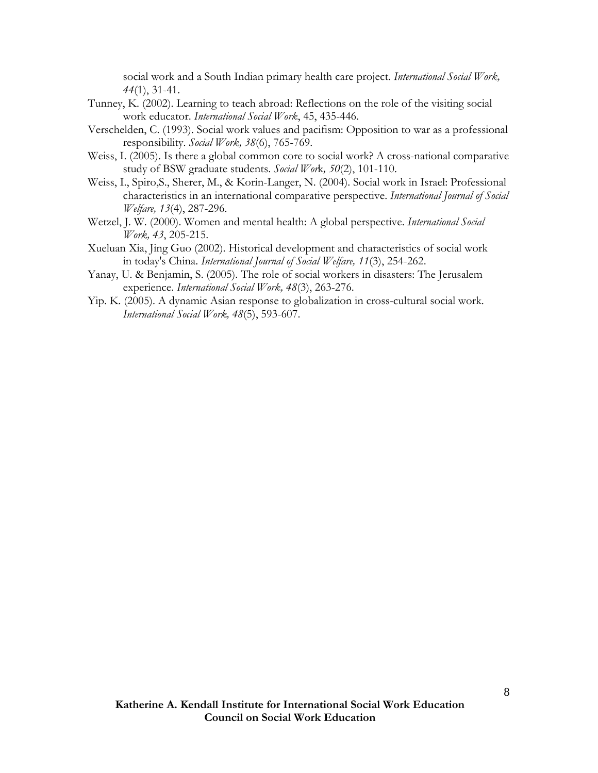social work and a South Indian primary health care project. *International Social Work, 44*(1), 31-41.

- Tunney, K. (2002). Learning to teach abroad: Reflections on the role of the visiting social work educator. *International Social Work*, 45, 435-446.
- Verschelden, C. (1993). Social work values and pacifism: Opposition to war as a professional responsibility. *Social Work, 38*(6), 765-769.
- Weiss, I. (2005). Is there a global common core to social work? A cross-national comparative study of BSW graduate students. *Social Wor*k*, 50*(2), 101-110.
- Weiss, I., Spiro,S., Sherer, M., & Korin-Langer, N. (2004). Social work in Israel: Professional characteristics in an international comparative perspective. *International Journal of Social Welfare, 13*(4), 287-296.
- Wetzel, J. W. (2000). Women and mental health: A global perspective. *International Social Work, 43*, 205-215.
- Xueluan Xia, Jing Guo (2002). Historical development and characteristics of social work in today's China. *International Journal of Social Welfare, 11*(3), 254-262.
- Yanay, U. & Benjamin, S. (2005). The role of social workers in disasters: The Jerusalem experience. *International Social Work, 48*(3), 263-276.
- Yip. K. (2005). A dynamic Asian response to globalization in cross-cultural social work. *International Social Work, 48*(5), 593-607.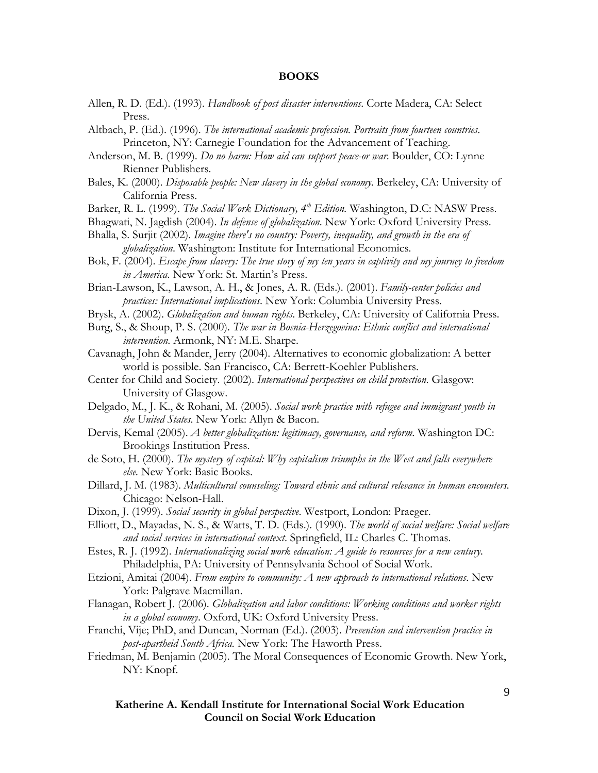#### **BOOKS**

- Allen, R. D. (Ed.). (1993). *Handbook of post disaster interventions*. Corte Madera, CA: Select Press.
- Altbach, P. (Ed.). (1996). *The international academic profession. Portraits from fourteen countries*. Princeton, NY: Carnegie Foundation for the Advancement of Teaching.
- Anderson, M. B. (1999). *Do no harm: How aid can support peace-or war*. Boulder, CO: Lynne Rienner Publishers.
- Bales, K. (2000). *Disposable people: New slavery in the global economy*. Berkeley, CA: University of California Press.
- Barker, R. L. (1999). *The Social Work Dictionary, 4<sup>th</sup> Edition*. Washington, D.C: NASW Press.
- Bhagwati, N. Jagdish (2004). *In defense of globalization*. New York: Oxford University Press.
- Bhalla, S. Surjit (2002). *Imagine there's no country: Poverty, inequality, and growth in the era of globalization*. Washington: Institute for International Economics.
- Bok, F. (2004). *Escape from slavery: The true story of my ten years in captivity and my journey to freedom in America*. New York: St. Martin's Press.
- Brian-Lawson, K., Lawson, A. H., & Jones, A. R. (Eds.). (2001). *Family-center policies and practices: International implications*. New York: Columbia University Press.
- Brysk, A. (2002). *Globalization and human rights*. Berkeley, CA: University of California Press.
- Burg, S., & Shoup, P. S. (2000). *The war in Bosnia-Herzegovina: Ethnic conflict and international intervention*. Armonk, NY: M.E. Sharpe.
- Cavanagh, John & Mander, Jerry (2004). Alternatives to economic globalization: A better world is possible. San Francisco, CA: Berrett-Koehler Publishers.
- Center for Child and Society. (2002). *International perspectives on child protection*. Glasgow: University of Glasgow.
- Delgado, M., J. K., & Rohani, M. (2005). *Social work practice with refugee and immigrant youth in the United States*. New York: Allyn & Bacon.
- Dervis, Kemal (2005). *A better globalization: legitimacy, governance, and reform*. Washington DC: Brookings Institution Press.
- de Soto, H. (2000). *The mystery of capital: Why capitalism triumphs in the West and falls everywhere else.* New York: Basic Books.
- Dillard, J. M. (1983). *Multicultural counseling: Toward ethnic and cultural relevance in human encounters.*  Chicago: Nelson-Hall.
- Dixon, J. (1999). *Social security in global perspective*. Westport, London: Praeger.
- Elliott, D., Mayadas, N. S., & Watts, T. D. (Eds.). (1990). *The world of social welfare: Social welfare and social services in international context*. Springfield, IL: Charles C. Thomas.
- Estes, R. J. (1992). *Internationalizing social work education: A guide to resources for a new century.*  Philadelphia, PA: University of Pennsylvania School of Social Work.
- Etzioni, Amitai (2004). *From empire to community: A new approach to international relations*. New York: Palgrave Macmillan.
- Flanagan, Robert J. (2006). *Globalization and labor conditions: Working conditions and worker rights in a global economy*. Oxford, UK: Oxford University Press.
- Franchi, Vije; PhD, and Duncan, Norman (Ed.). (2003). *Prevention and intervention practice in post-apartheid South Africa.* New York: The Haworth Press.
- Friedman, M. Benjamin (2005). The Moral Consequences of Economic Growth. New York, NY: Knopf.

**Katherine A. Kendall Institute for International Social Work Education Council on Social Work Education**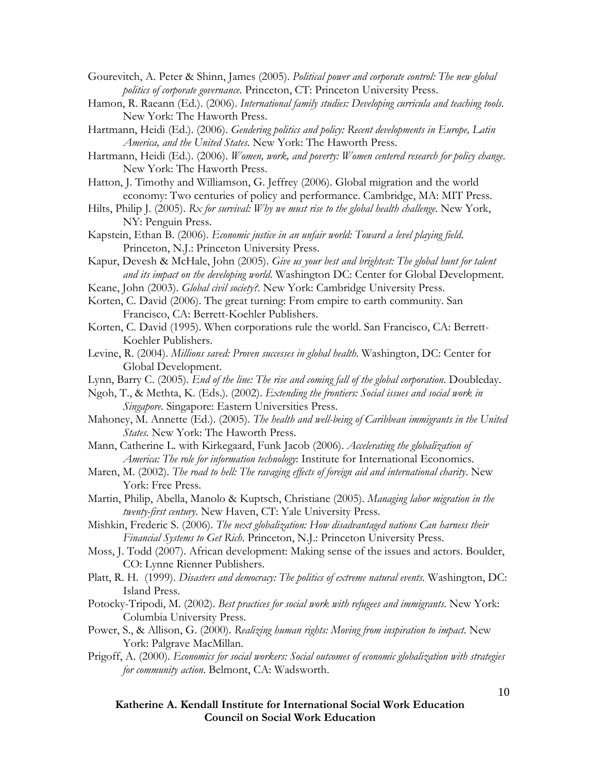Gourevitch, A. Peter & Shinn, James (2005). *Political power and corporate control: The new global politics of corporate governance*. Princeton, CT: Princeton University Press.

- Hamon, R. Raeann (Ed.). (2006). *International family studies: Developing curricula and teaching tools*. New York: The Haworth Press.
- Hartmann, Heidi (Ed.). (2006). *Gendering politics and policy: Recent developments in Europe, Latin America, and the United States.* New York: The Haworth Press.
- Hartmann, Heidi (Ed.). (2006). *Women, work, and poverty: Women centered research for policy change*. New York: The Haworth Press.
- Hatton, J. Timothy and Williamson, G. Jeffrey (2006). Global migration and the world economy: Two centuries of policy and performance. Cambridge, MA: MIT Press.
- Hilts, Philip J. (2005). *Rx for survival: Why we must rise to the global health challenge*. New York, NY: Penguin Press.
- Kapstein, Ethan B. (2006). *Economic justice in an unfair world: Toward a level playing field*. Princeton, N.J.: Princeton University Press.
- Kapur, Devesh & McHale, John (2005). *Give us your best and brightest: The global hunt for talent and its impact on the developing world*. Washington DC: Center for Global Development.
- Keane, John (2003). *Global civil society?*. New York: Cambridge University Press.
- Korten, C. David (2006). The great turning: From empire to earth community. San Francisco, CA: Berrett-Koehler Publishers.
- Korten, C. David (1995). When corporations rule the world. San Francisco, CA: Berrett-Koehler Publishers.
- Levine, R. (2004). *Millions saved: Proven successes in global health*. Washington, DC: Center for Global Development.
- Lynn, Barry C. (2005). *End of the line: The rise and coming fall of the global corporation*. Doubleday.
- Ngoh, T., & Methta, K. (Eds.). (2002). *Extending the frontiers: Social issues and social work in Singapore*. Singapore: Eastern Universities Press.
- Mahoney, M. Annette (Ed.). (2005). *The health and well-being of Caribbean immigrants in the United States.* New York: The Haworth Press.
- Mann, Catherine L. with Kirkegaard, Funk Jacob (2006). *Accelerating the globalization of America: The role for information technology*: Institute for International Economics.
- Maren, M. (2002). *The road to hell: The ravaging effects of foreign aid and international charity*. New York: Free Press.
- Martin, Philip, Abella, Manolo & Kuptsch, Christiane (2005). *Managing labor migration in the twenty-first century*. New Haven, CT: Yale University Press.

Mishkin, Frederic S. (2006). *The next globalization: How disadvantaged nations Can harness their Financial Systems to Get Rich*. Princeton, N.J.: Princeton University Press.

- Moss, J. Todd (2007). African development: Making sense of the issues and actors. Boulder, CO: Lynne Rienner Publishers.
- Platt, R. H. (1999). *Disasters and democracy: The politics of extreme natural events.* Washington, DC: Island Press.
- Potocky-Tripodi, M. (2002). *Best practices for social work with refugees and immigrants*. New York: Columbia University Press.
- Power, S., & Allison, G. (2000). *Realizing human rights: Moving from inspiration to impact*. New York: Palgrave MacMillan.
- Prigoff, A. (2000). *Economics for social workers: Social outcomes of economic globalization with strategies for community action*. Belmont, CA: Wadsworth.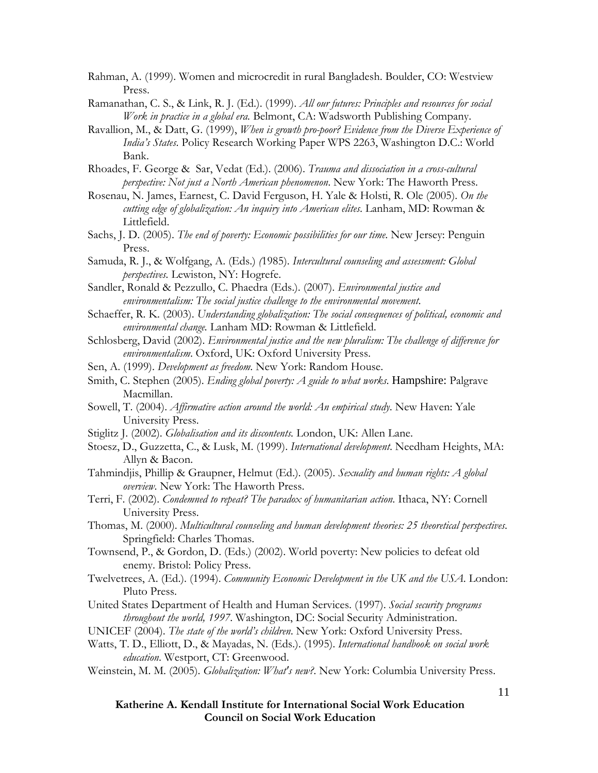Rahman, A. (1999). Women and microcredit in rural Bangladesh. Boulder, CO: Westview Press.

Ramanathan, C. S., & Link, R. J. (Ed.). (1999). *All our futures: Principles and resources for social Work in practice in a global era.* Belmont, CA: Wadsworth Publishing Company.

Ravallion, M., & Datt, G. (1999), *When is growth pro-poor? Evidence from the Diverse Experience of India's States*. Policy Research Working Paper WPS 2263, Washington D.C.: World Bank.

Rhoades, F. George & Sar, Vedat (Ed.). (2006). *Trauma and dissociation in a cross-cultural perspective: Not just a North American phenomenon*. New York: The Haworth Press.

Rosenau, N. James, Earnest, C. David Ferguson, H. Yale & Holsti, R. Ole (2005). *On the cutting edge of globalization: An inquiry into American elites*. Lanham, MD: Rowman & Littlefield.

Sachs, J. D. (2005). *The end of poverty: Economic possibilities for our time*. New Jersey: Penguin Press.

Samuda, R. J., & Wolfgang, A. (Eds.) *(*1985). *Intercultural counseling and assessment: Global perspectives.* Lewiston, NY: Hogrefe.

Sandler, Ronald & Pezzullo, C. Phaedra (Eds.). (2007). *Environmental justice and environmentalism: The social justice challenge to the environmental movement*.

Schaeffer, R. K. (2003). *Understanding globalization: The social consequences of political, economic and environmental change.* Lanham MD: Rowman & Littlefield.

Schlosberg, David (2002). *Environmental justice and the new pluralism: The challenge of difference for environmentalism*. Oxford, UK: Oxford University Press.

Sen, A. (1999). *Development as freedom*. New York: Random House.

Smith, C. Stephen (2005). *Ending global poverty: A guide to what works*. Hampshire: Palgrave Macmillan.

- Sowell, T. (2004). *Affirmative action around the world: An empirical study*. New Haven: Yale University Press.
- Stiglitz J. (2002). *Globalisation and its discontents.* London, UK: Allen Lane.

Stoesz, D., Guzzetta, C., & Lusk, M. (1999). *International development*. Needham Heights, MA: Allyn & Bacon.

Tahmindjis, Phillip & Graupner, Helmut (Ed.). (2005). *Sexuality and human rights: A global overview*. New York: The Haworth Press.

Terri, F. (2002). *Condemned to repeat? The paradox of humanitarian action*. Ithaca, NY: Cornell University Press.

Thomas, M. (2000). *Multicultural counseling and human development theories: 25 theoretical perspectives*. Springfield: Charles Thomas.

Townsend, P., & Gordon, D. (Eds.) (2002). World poverty: New policies to defeat old enemy. Bristol: Policy Press.

Twelvetrees, A. (Ed.). (1994). *Community Economic Development in the UK and the USA*. London: Pluto Press.

United States Department of Health and Human Services. (1997). *Social security programs throughout the world, 1997*. Washington, DC: Social Security Administration.

Watts, T. D., Elliott, D., & Mayadas, N. (Eds.). (1995). *International handbook on social work education*. Westport, CT: Greenwood.

Weinstein, M. M. (2005). *Globalization: What's new?*. New York: Columbia University Press.

**Katherine A. Kendall Institute for International Social Work Education Council on Social Work Education** 

UNICEF (2004). *The state of the world's children*. New York: Oxford University Press.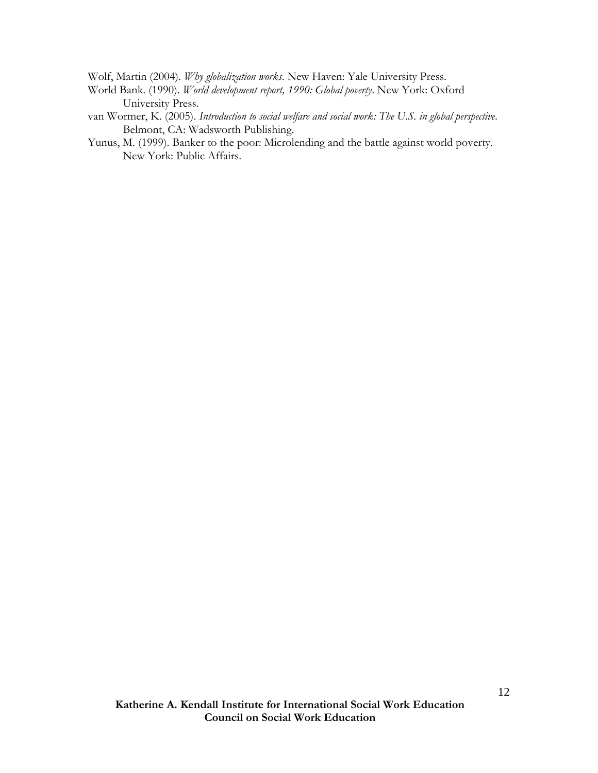Wolf, Martin (2004). *Why globalization works*. New Haven: Yale University Press.

- World Bank. (1990). *World development report, 1990: Global poverty*. New York: Oxford University Press.
- van Wormer, K. (2005). *Introduction to social welfare and social work: The U.S. in global perspective*. Belmont, CA: Wadsworth Publishing.
- Yunus, M. (1999). Banker to the poor: Microlending and the battle against world poverty. New York: Public Affairs.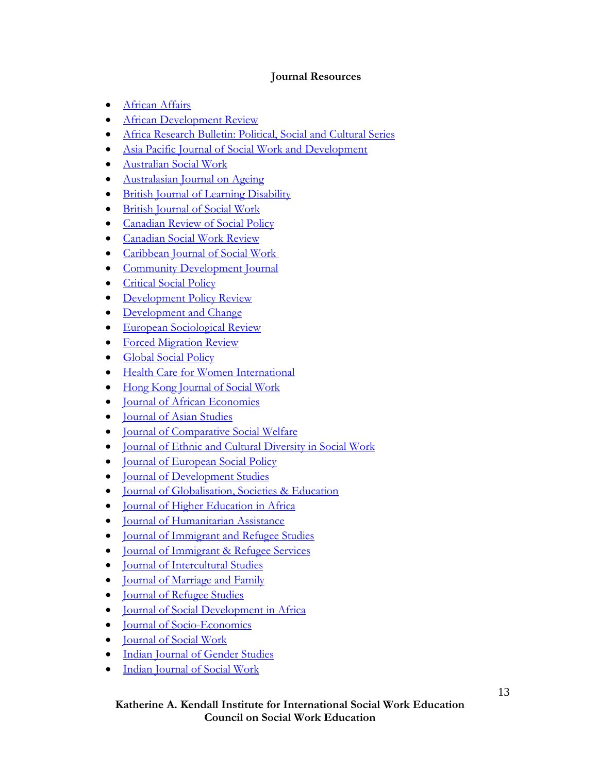# **Journal Resources**

- African Affairs
- African Development Review
- Africa Research Bulletin: Political, Social and Cultural Series
- Asia Pacific Journal of Social Work and Development
- Australian Social Work
- Australasian Journal on Ageing
- British Journal of Learning Disability
- British Journal of Social Work
- Canadian Review of Social Policy
- Canadian Social Work Review
- Caribbean Journal of Social Work
- Community Development Journal
- Critical Social Policy
- Development Policy Review
- Development and Change
- European Sociological Review
- Forced Migration Review
- Global Social Policy
- Health Care for Women International
- Hong Kong Journal of Social Work
- Journal of African Economies
- Journal of Asian Studies
- Journal of Comparative Social Welfare
- Journal of Ethnic and Cultural Diversity in Social Work
- Journal of European Social Policy
- **Journal of Development Studies**
- Journal of Globalisation, Societies & Education
- Journal of Higher Education in Africa
- Journal of Humanitarian Assistance
- Journal of Immigrant and Refugee Studies
- Journal of Immigrant & Refugee Services
- Journal of Intercultural Studies
- Journal of Marriage and Family
- Journal of Refugee Studies
- Journal of Social Development in Africa
- **Journal of Socio-Economics**
- Journal of Social Work
- Indian Journal of Gender Studies
- Indian Journal of Social Work